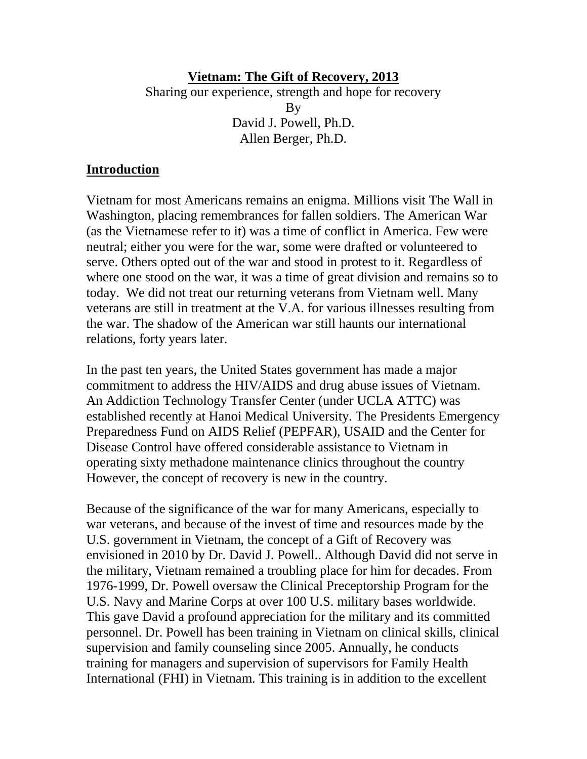#### **Vietnam: The Gift of Recovery, 2013** Sharing our experience, strength and hope for recovery By David J. Powell, Ph.D. Allen Berger, Ph.D.

#### **Introduction**

Vietnam for most Americans remains an enigma. Millions visit The Wall in Washington, placing remembrances for fallen soldiers. The American War (as the Vietnamese refer to it) was a time of conflict in America. Few were neutral; either you were for the war, some were drafted or volunteered to serve. Others opted out of the war and stood in protest to it. Regardless of where one stood on the war, it was a time of great division and remains so to today. We did not treat our returning veterans from Vietnam well. Many veterans are still in treatment at the V.A. for various illnesses resulting from the war. The shadow of the American war still haunts our international relations, forty years later.

In the past ten years, the United States government has made a major commitment to address the HIV/AIDS and drug abuse issues of Vietnam. An Addiction Technology Transfer Center (under UCLA ATTC) was established recently at Hanoi Medical University. The Presidents Emergency Preparedness Fund on AIDS Relief (PEPFAR), USAID and the Center for Disease Control have offered considerable assistance to Vietnam in operating sixty methadone maintenance clinics throughout the country However, the concept of recovery is new in the country.

Because of the significance of the war for many Americans, especially to war veterans, and because of the invest of time and resources made by the U.S. government in Vietnam, the concept of a Gift of Recovery was envisioned in 2010 by Dr. David J. Powell.. Although David did not serve in the military, Vietnam remained a troubling place for him for decades. From 1976-1999, Dr. Powell oversaw the Clinical Preceptorship Program for the U.S. Navy and Marine Corps at over 100 U.S. military bases worldwide. This gave David a profound appreciation for the military and its committed personnel. Dr. Powell has been training in Vietnam on clinical skills, clinical supervision and family counseling since 2005. Annually, he conducts training for managers and supervision of supervisors for Family Health International (FHI) in Vietnam. This training is in addition to the excellent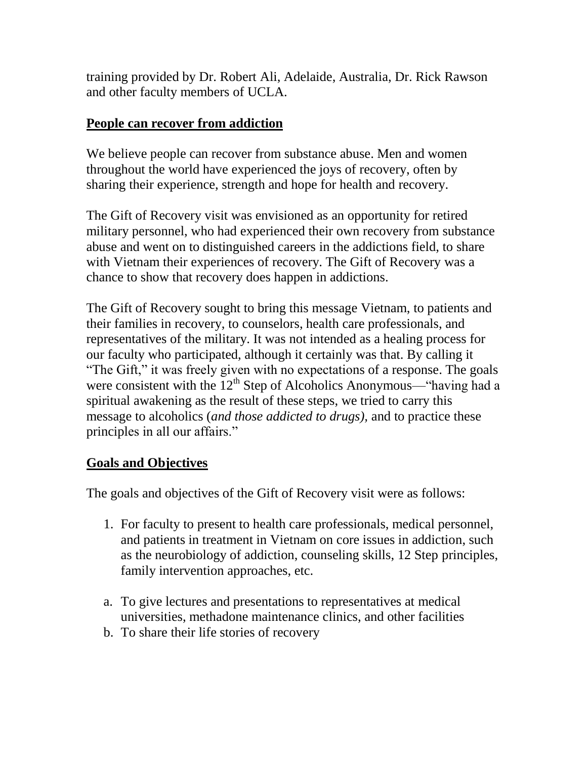training provided by Dr. Robert Ali, Adelaide, Australia, Dr. Rick Rawson and other faculty members of UCLA.

### **People can recover from addiction**

We believe people can recover from substance abuse. Men and women throughout the world have experienced the joys of recovery, often by sharing their experience, strength and hope for health and recovery.

The Gift of Recovery visit was envisioned as an opportunity for retired military personnel, who had experienced their own recovery from substance abuse and went on to distinguished careers in the addictions field, to share with Vietnam their experiences of recovery. The Gift of Recovery was a chance to show that recovery does happen in addictions.

The Gift of Recovery sought to bring this message Vietnam, to patients and their families in recovery, to counselors, health care professionals, and representatives of the military. It was not intended as a healing process for our faculty who participated, although it certainly was that. By calling it "The Gift," it was freely given with no expectations of a response. The goals were consistent with the  $12<sup>th</sup>$  Step of Alcoholics Anonymous—"having had a spiritual awakening as the result of these steps, we tried to carry this message to alcoholics (*and those addicted to drugs),* and to practice these principles in all our affairs."

## **Goals and Objectives**

The goals and objectives of the Gift of Recovery visit were as follows:

- 1. For faculty to present to health care professionals, medical personnel, and patients in treatment in Vietnam on core issues in addiction, such as the neurobiology of addiction, counseling skills, 12 Step principles, family intervention approaches, etc.
- a. To give lectures and presentations to representatives at medical universities, methadone maintenance clinics, and other facilities
- b. To share their life stories of recovery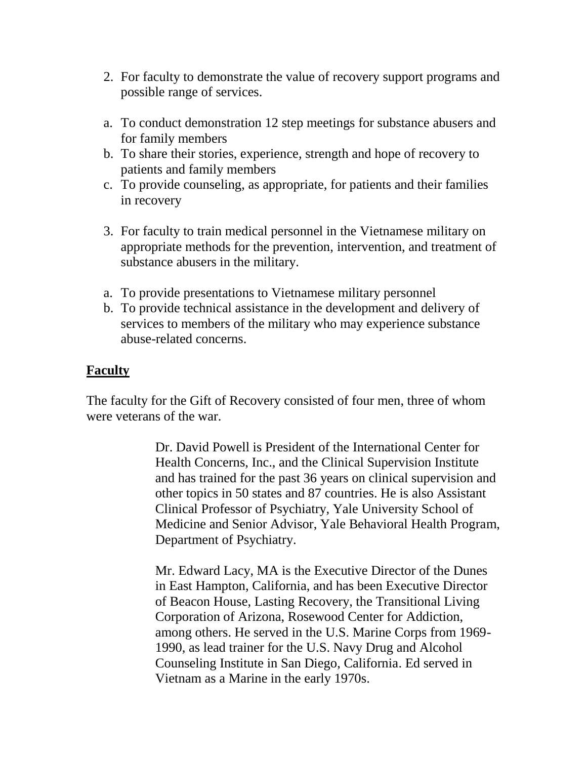- 2. For faculty to demonstrate the value of recovery support programs and possible range of services.
- a. To conduct demonstration 12 step meetings for substance abusers and for family members
- b. To share their stories, experience, strength and hope of recovery to patients and family members
- c. To provide counseling, as appropriate, for patients and their families in recovery
- 3. For faculty to train medical personnel in the Vietnamese military on appropriate methods for the prevention, intervention, and treatment of substance abusers in the military.
- a. To provide presentations to Vietnamese military personnel
- b. To provide technical assistance in the development and delivery of services to members of the military who may experience substance abuse-related concerns.

#### **Faculty**

The faculty for the Gift of Recovery consisted of four men, three of whom were veterans of the war.

> Dr. David Powell is President of the International Center for Health Concerns, Inc., and the Clinical Supervision Institute and has trained for the past 36 years on clinical supervision and other topics in 50 states and 87 countries. He is also Assistant Clinical Professor of Psychiatry, Yale University School of Medicine and Senior Advisor, Yale Behavioral Health Program, Department of Psychiatry.

Mr. Edward Lacy, MA is the Executive Director of the Dunes in East Hampton, California, and has been Executive Director of Beacon House, Lasting Recovery, the Transitional Living Corporation of Arizona, Rosewood Center for Addiction, among others. He served in the U.S. Marine Corps from 1969- 1990, as lead trainer for the U.S. Navy Drug and Alcohol Counseling Institute in San Diego, California. Ed served in Vietnam as a Marine in the early 1970s.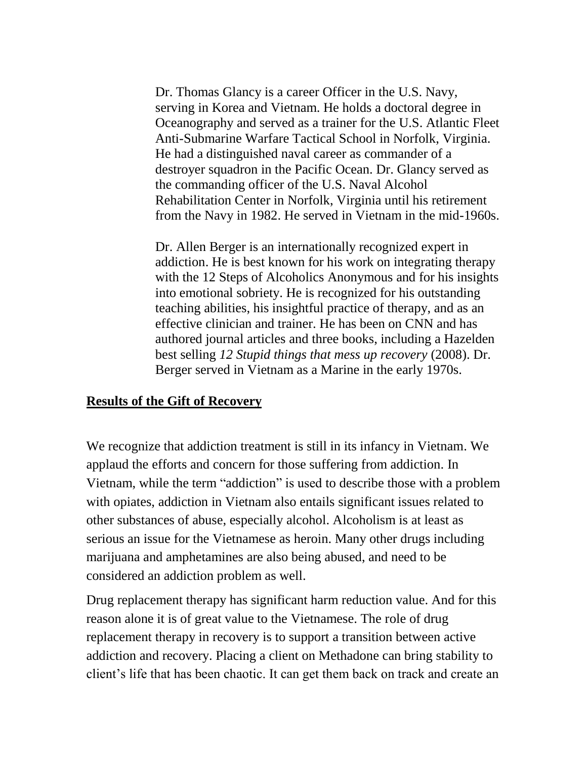Dr. Thomas Glancy is a career Officer in the U.S. Navy, serving in Korea and Vietnam. He holds a doctoral degree in Oceanography and served as a trainer for the U.S. Atlantic Fleet Anti-Submarine Warfare Tactical School in Norfolk, Virginia. He had a distinguished naval career as commander of a destroyer squadron in the Pacific Ocean. Dr. Glancy served as the commanding officer of the U.S. Naval Alcohol Rehabilitation Center in Norfolk, Virginia until his retirement from the Navy in 1982. He served in Vietnam in the mid-1960s.

Dr. Allen Berger is an internationally recognized expert in addiction. He is best known for his work on integrating therapy with the 12 Steps of Alcoholics Anonymous and for his insights into emotional sobriety. He is recognized for his outstanding teaching abilities, his insightful practice of therapy, and as an effective clinician and trainer. He has been on CNN and has authored journal articles and three books, including a Hazelden best selling *12 Stupid things that mess up recovery* (2008). Dr. Berger served in Vietnam as a Marine in the early 1970s.

#### **Results of the Gift of Recovery**

We recognize that addiction treatment is still in its infancy in Vietnam. We applaud the efforts and concern for those suffering from addiction. In Vietnam, while the term "addiction" is used to describe those with a problem with opiates, addiction in Vietnam also entails significant issues related to other substances of abuse, especially alcohol. Alcoholism is at least as serious an issue for the Vietnamese as heroin. Many other drugs including marijuana and amphetamines are also being abused, and need to be considered an addiction problem as well.

Drug replacement therapy has significant harm reduction value. And for this reason alone it is of great value to the Vietnamese. The role of drug replacement therapy in recovery is to support a transition between active addiction and recovery. Placing a client on Methadone can bring stability to client's life that has been chaotic. It can get them back on track and create an